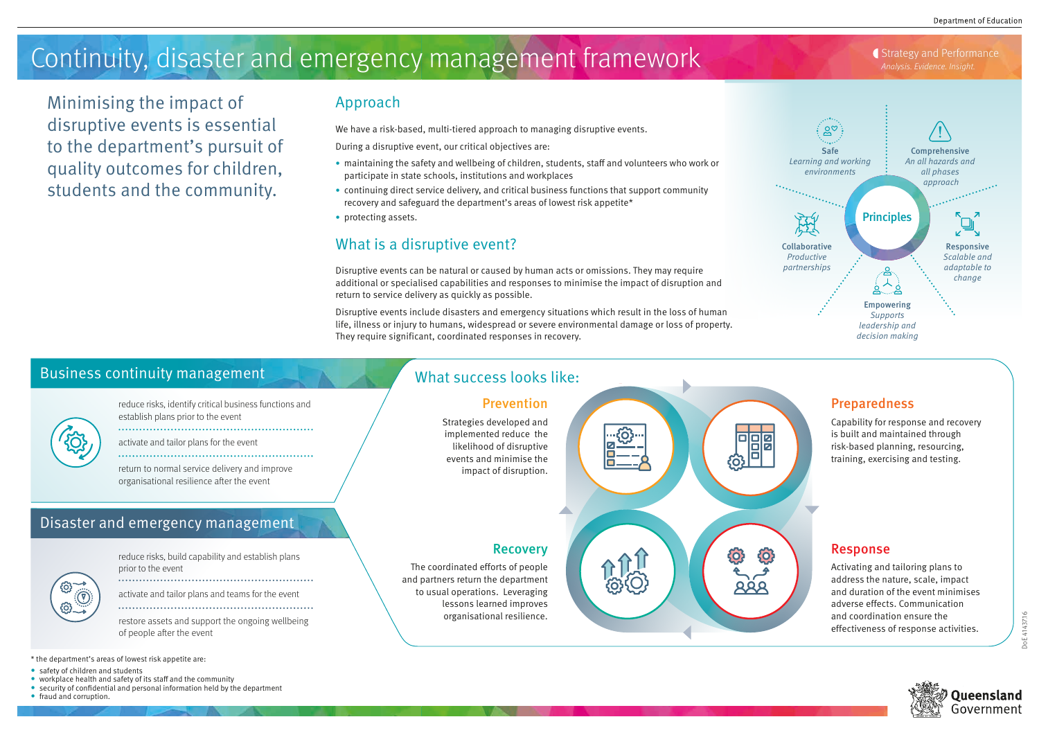

# Approach

We have a risk-based, multi-tiered approach to managing disruptive events.

During a disruptive event, our critical objectives are:

- maintaining the safety and wellbeing of children, students, staff and volunteers who work or participate in state schools, institutions and workplaces
- continuing direct service delivery, and critical business functions that support community recovery and safeguard the department's areas of lowest risk appetite\*
- protecting assets.

- \* the department's areas of lowest risk appetite are:
- safety of children and students
- workplace health and safety of its staff and the community
- security of confidential and personal information held by the department
- fraud and corruption.



# What is a disruptive event?

Disruptive events can be natural or caused by human acts or omissions. They may require additional or specialised capabilities and responses to minimise the impact of disruption and return to service delivery as quickly as possible.

Disruptive events include disasters and emergency situations which result in the loss of human life, illness or injury to humans, widespread or severe environmental damage or loss of property. They require significant, coordinated responses in recovery.

# Continuity, disaster and emergency management framework **Analysis. Evidence. Insight.**

Minimising the impact of disruptive events is essential to the department's pursuit of quality outcomes for children, students and the community.

# Business continuity management

reduce risks, identify critical business functions and establish plans prior to the event

activate and tailor plans for the event 

return to normal service delivery and improve organisational resilience after the event

reduce risks, build capability and establish plans prior to the event

activate and tailor plans and teams for the event 

restore assets and support the ongoing wellbeing of people after the event

# Disaster and emergency management

# Preparedness

Capability for response and recovery is built and maintained through risk-based planning, resourcing, training, exercising and testing.

#### Response

Activating and tailoring plans to address the nature, scale, impact and duration of the event minimises adverse effects. Communication and coordination ensure the effectiveness of response activities.

### Prevention

Strategies developed and implemented reduce the likelihood of disruptive events and minimise the impact of disruption.

#### Recovery

The coordinated efforts of people and partners return the department to usual operations. Leveraging lessons learned improves organisational resilience.



# What success looks like:





Oueensland Government